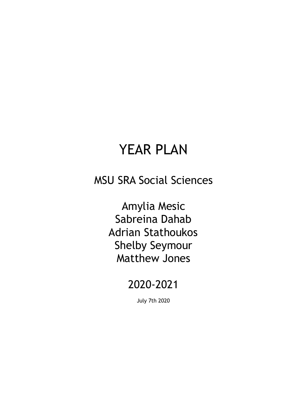# YEAR PLAN

## MSU SRA Social Sciences

Amylia Mesic Sabreina Dahab Adrian Stathoukos Shelby Seymour Matthew Jones

## 2020-2021

July 7th 2020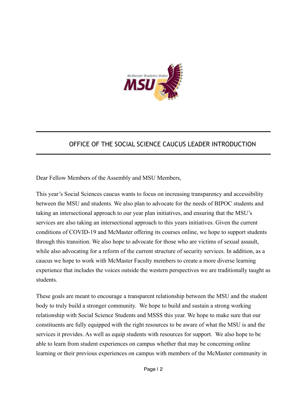

### OFFICE OF THE SOCIAL SCIENCE CAUCUS LEADER INTRODUCTION

Dear Fellow Members of the Assembly and MSU Members,

This year's Social Sciences caucus wants to focus on increasing transparency and accessibility between the MSU and students. We also plan to advocate for the needs of BIPOC students and taking an intersectional approach to our year plan initiatives, and ensuring that the MSU's services are also taking an intersectional approach to this years initiatives. Given the current conditions of COVID-19 and McMaster offering its courses online, we hope to support students through this transition. We also hope to advocate for those who are victims of sexual assault, while also advocating for a reform of the current structure of security services. In addition, as a caucus we hope to work with McMaster Faculty members to create a more diverse learning experience that includes the voices outside the western perspectives we are traditionally taught as students.

These goals are meant to encourage a transparent relationship between the MSU and the student body to truly build a stronger community. We hope to build and sustain a strong working relationship with Social Science Students and MSSS this year. We hope to make sure that our constituents are fully equipped with the right resources to be aware of what the MSU is and the services it provides. As well as equip students with resources for support. We also hope to be able to learn from student experiences on campus whether that may be concerning online learning or their previous experiences on campus with members of the McMaster community in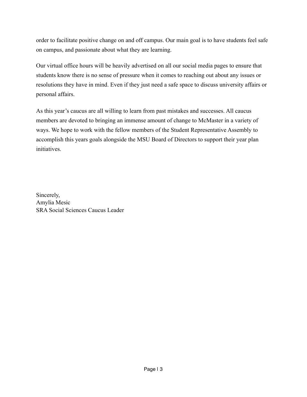order to facilitate positive change on and off campus. Our main goal is to have students feel safe on campus, and passionate about what they are learning.

Our virtual office hours will be heavily advertised on all our social media pages to ensure that students know there is no sense of pressure when it comes to reaching out about any issues or resolutions they have in mind. Even if they just need a safe space to discuss university affairs or personal affairs.

As this year's caucus are all willing to learn from past mistakes and successes. All caucus members are devoted to bringing an immense amount of change to McMaster in a variety of ways. We hope to work with the fellow members of the Student Representative Assembly to accomplish this years goals alongside the MSU Board of Directors to support their year plan initiatives.

Sincerely, Amylia Mesic SRA Social Sciences Caucus Leader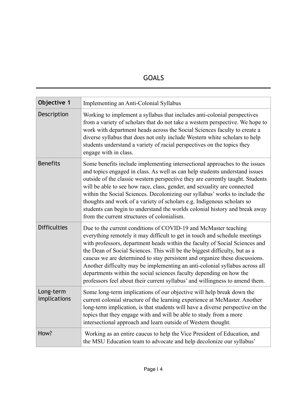### GOALS

| Objective 1               | Implementing an Anti-Colonial Syllabus                                                                                                                                                                                                                                                                                                                                                                                                                                                                                                                                                                                          |
|---------------------------|---------------------------------------------------------------------------------------------------------------------------------------------------------------------------------------------------------------------------------------------------------------------------------------------------------------------------------------------------------------------------------------------------------------------------------------------------------------------------------------------------------------------------------------------------------------------------------------------------------------------------------|
| Description               | Working to implement a syllabus that includes anti-colonial perspectives<br>from a variety of scholars that do not take a western perspective. We hope to<br>work with department heads across the Social Sciences faculty to create a<br>diverse syllabus that does not only include Western white scholars to help<br>students understand a variety of racial perspectives on the topics they<br>engage with in class.                                                                                                                                                                                                        |
| <b>Benefits</b>           | Some benefits include implementing intersectional approaches to the issues<br>and topics engaged in class. As well as can help students understand issues<br>outside of the classic western perspective they are currently taught. Students<br>will be able to see how race, class, gender, and sexuality are connected<br>within the Social Sciences. Decolonizing our syllabus' works to include the<br>thoughts and work of a variety of scholars e.g. Indigenous scholars so<br>students can begin to understand the worlds colonial history and break away<br>from the current structures of colonialism.                  |
| <b>Difficulties</b>       | Due to the current conditions of COVID-19 and McMaster teaching<br>everything remotely it may difficult to get in touch and schedule meetings<br>with professors, department heads within the faculty of Social Sciences and<br>the Dean of Social Sciences. This will be the biggest difficulty, but as a<br>caucus we are determined to stay persistent and organize these discussions.<br>Another difficulty may be implementing an anti-colonial syllabus across all<br>departments within the social sciences faculty depending on how the<br>professors feel about their current syllabus' and willingness to amend them. |
| Long-term<br>implications | Some long-term implications of our objective will help break down the<br>current colonial structure of the learning experience at McMaster. Another<br>long-term implication, is that students will have a diverse perspective on the<br>topics that they engage with and will be able to study from a more<br>intersectional approach and learn outside of Western thought.                                                                                                                                                                                                                                                    |
| How?                      | Working as an entire caucus to help the Vice President of Education, and<br>the MSU Education team to advocate and help decolonize our syllabus'                                                                                                                                                                                                                                                                                                                                                                                                                                                                                |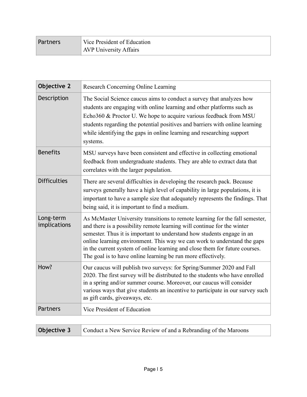| Partners | Vice President of Education   |
|----------|-------------------------------|
|          | <b>AVP University Affairs</b> |

| <b>Objective 2</b>        | Research Concerning Online Learning                                                                                                                                                                                                                                                                                                                                                                                                                          |
|---------------------------|--------------------------------------------------------------------------------------------------------------------------------------------------------------------------------------------------------------------------------------------------------------------------------------------------------------------------------------------------------------------------------------------------------------------------------------------------------------|
| Description               | The Social Science caucus aims to conduct a survey that analyzes how<br>students are engaging with online learning and other platforms such as<br>Echo360 & Proctor U. We hope to acquire various feedback from MSU<br>students regarding the potential positives and barriers with online learning<br>while identifying the gaps in online learning and researching support<br>systems.                                                                     |
| <b>Benefits</b>           | MSU surveys have been consistent and effective in collecting emotional<br>feedback from undergraduate students. They are able to extract data that<br>correlates with the larger population.                                                                                                                                                                                                                                                                 |
| <b>Difficulties</b>       | There are several difficulties in developing the research pack. Because<br>surveys generally have a high level of capability in large populations, it is<br>important to have a sample size that adequately represents the findings. That<br>being said, it is important to find a medium.                                                                                                                                                                   |
| Long-term<br>implications | As McMaster University transitions to remote learning for the fall semester,<br>and there is a possibility remote learning will continue for the winter<br>semester. Thus it is important to understand how students engage in an<br>online learning environment. This way we can work to understand the gaps<br>in the current system of online learning and close them for future courses.<br>The goal is to have online learning be run more effectively. |
| How?                      | Our caucus will publish two surveys: for Spring/Summer 2020 and Fall<br>2020. The first survey will be distributed to the students who have enrolled<br>in a spring and/or summer course. Moreover, our caucus will consider<br>various ways that give students an incentive to participate in our survey such<br>as gift cards, giveaways, etc.                                                                                                             |
| <b>Partners</b>           | Vice President of Education                                                                                                                                                                                                                                                                                                                                                                                                                                  |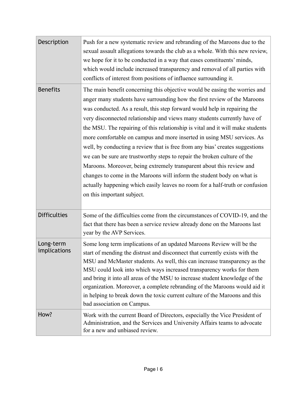| Description               | Push for a new systematic review and rebranding of the Maroons due to the<br>sexual assault allegations towards the club as a whole. With this new review,<br>we hope for it to be conducted in a way that eases constituents' minds,<br>which would include increased transparency and removal of all parties with<br>conflicts of interest from positions of influence surrounding it.                                                                                                                                                                                                                                                                                                                                                                                                                                                                                                                |
|---------------------------|---------------------------------------------------------------------------------------------------------------------------------------------------------------------------------------------------------------------------------------------------------------------------------------------------------------------------------------------------------------------------------------------------------------------------------------------------------------------------------------------------------------------------------------------------------------------------------------------------------------------------------------------------------------------------------------------------------------------------------------------------------------------------------------------------------------------------------------------------------------------------------------------------------|
| <b>Benefits</b>           | The main benefit concerning this objective would be easing the worries and<br>anger many students have surrounding how the first review of the Maroons<br>was conducted. As a result, this step forward would help in repairing the<br>very disconnected relationship and views many students currently have of<br>the MSU. The repairing of this relationship is vital and it will make students<br>more comfortable on campus and more inserted in using MSU services. As<br>well, by conducting a review that is free from any bias' creates suggestions<br>we can be sure are trustworthy steps to repair the broken culture of the<br>Maroons. Moreover, being extremely transparent about this review and<br>changes to come in the Maroons will inform the student body on what is<br>actually happening which easily leaves no room for a half-truth or confusion<br>on this important subject. |
| <b>Difficulties</b>       | Some of the difficulties come from the circumstances of COVID-19, and the<br>fact that there has been a service review already done on the Maroons last<br>year by the AVP Services.                                                                                                                                                                                                                                                                                                                                                                                                                                                                                                                                                                                                                                                                                                                    |
| Long-term<br>implications | Some long term implications of an updated Maroons Review will be the<br>start of mending the distrust and disconnect that currently exists with the<br>MSU and McMaster students. As well, this can increase transparency as the<br>MSU could look into which ways increased transparency works for them<br>and bring it into all areas of the MSU to increase student knowledge of the<br>organization. Moreover, a complete rebranding of the Maroons would aid it<br>in helping to break down the toxic current culture of the Maroons and this<br>bad association on Campus.                                                                                                                                                                                                                                                                                                                        |
| How?                      | Work with the current Board of Directors, especially the Vice President of<br>Administration, and the Services and University Affairs teams to advocate<br>for a new and unbiased review.                                                                                                                                                                                                                                                                                                                                                                                                                                                                                                                                                                                                                                                                                                               |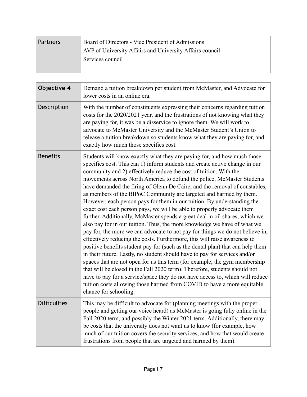| <b>Partners</b> | Board of Directors - Vice President of Admissions        |
|-----------------|----------------------------------------------------------|
|                 | AVP of University Affairs and University Affairs council |
|                 | Services council                                         |
|                 |                                                          |

| Objective 4         | Demand a tuition breakdown per student from McMaster, and Advocate for<br>lower costs in an online era.                                                                                                                                                                                                                                                                                                                                                                                                                                                                                                                                                                                                                                                                                                                                                                                                                                                                                                                                                                                                                                                                                                                                                                                                                                                                                                                                                  |
|---------------------|----------------------------------------------------------------------------------------------------------------------------------------------------------------------------------------------------------------------------------------------------------------------------------------------------------------------------------------------------------------------------------------------------------------------------------------------------------------------------------------------------------------------------------------------------------------------------------------------------------------------------------------------------------------------------------------------------------------------------------------------------------------------------------------------------------------------------------------------------------------------------------------------------------------------------------------------------------------------------------------------------------------------------------------------------------------------------------------------------------------------------------------------------------------------------------------------------------------------------------------------------------------------------------------------------------------------------------------------------------------------------------------------------------------------------------------------------------|
| Description         | With the number of constituents expressing their concerns regarding tuition<br>costs for the 2020/2021 year, and the frustrations of not knowing what they<br>are paying for, it was be a disservice to ignore them. We will work to<br>advocate to McMaster University and the McMaster Student's Union to<br>release a tuition breakdown so students know what they are paying for, and<br>exactly how much those specifics cost.                                                                                                                                                                                                                                                                                                                                                                                                                                                                                                                                                                                                                                                                                                                                                                                                                                                                                                                                                                                                                      |
| <b>Benefits</b>     | Students will know exactly what they are paying for, and how much those<br>specifics cost. This can 1) inform students and create active change in our<br>community and 2) effectively reduce the cost of tuition. With the<br>movements across North America to defund the police, McMaster Students<br>have demanded the firing of Glenn De Caire, and the removal of constables,<br>as members of the BIPoC Community are targeted and harmed by them.<br>However, each person pays for them in our tuition. By understanding the<br>exact cost each person pays, we will be able to properly advocate them<br>further. Additionally, McMaster spends a great deal in oil shares, which we<br>also pay for in our tuition. Thus, the more knowledge we have of what we<br>pay for, the more we can advocate to not pay for things we do not believe in,<br>effectively reducing the costs. Furthermore, this will raise awareness to<br>positive benefits student pay for (such as the dental plan) that can help them<br>in their future. Lastly, no student should have to pay for services and/or<br>spaces that are not open for us this term (for example, the gym membership<br>that will be closed in the Fall 2020 term). Therefore, students should not<br>have to pay for a service/space they do not have access to, which will reduce<br>tuition costs allowing those harmed from COVID to have a more equitable<br>chance for schooling. |
| <b>Difficulties</b> | This may be difficult to advocate for (planning meetings with the proper<br>people and getting our voice heard) as McMaster is going fully online in the<br>Fall 2020 term, and possibly the Winter 2021 term. Additionally, there may<br>be costs that the university does not want us to know (for example, how<br>much of our tuition covers the security services, and how that would create<br>frustrations from people that are targeted and harmed by them).                                                                                                                                                                                                                                                                                                                                                                                                                                                                                                                                                                                                                                                                                                                                                                                                                                                                                                                                                                                      |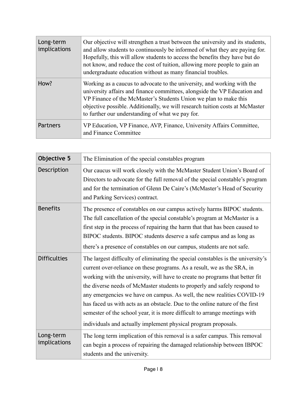| Long-term<br>implications | Our objective will strengthen a trust between the university and its students,<br>and allow students to continuously be informed of what they are paying for.<br>Hopefully, this will allow students to access the benefits they have but do<br>not know, and reduce the cost of tuition, allowing more people to gain an<br>undergraduate education without as many financial troubles. |
|---------------------------|------------------------------------------------------------------------------------------------------------------------------------------------------------------------------------------------------------------------------------------------------------------------------------------------------------------------------------------------------------------------------------------|
| How?                      | Working as a caucus to advocate to the university, and working with the<br>university affairs and finance committees, alongside the VP Education and<br>VP Finance of the McMaster's Students Union we plan to make this<br>objective possible. Additionally, we will research tuition costs at McMaster<br>to further our understanding of what we pay for.                             |
| <b>Partners</b>           | VP Education, VP Finance, AVP, Finance, University Affairs Committee,<br>and Finance Committee                                                                                                                                                                                                                                                                                           |

| <b>Objective 5</b>        | The Elimination of the special constables program                                                                                                                                                                                                                                                                                                                                                                                                                                                                                                                                                                                 |
|---------------------------|-----------------------------------------------------------------------------------------------------------------------------------------------------------------------------------------------------------------------------------------------------------------------------------------------------------------------------------------------------------------------------------------------------------------------------------------------------------------------------------------------------------------------------------------------------------------------------------------------------------------------------------|
| Description               | Our caucus will work closely with the McMaster Student Union's Board of<br>Directors to advocate for the full removal of the special constable's program<br>and for the termination of Glenn De Caire's (McMaster's Head of Security<br>and Parking Services) contract.                                                                                                                                                                                                                                                                                                                                                           |
| <b>Benefits</b>           | The presence of constables on our campus actively harms BIPOC students.<br>The full cancellation of the special constable's program at McMaster is a<br>first step in the process of repairing the harm that that has been caused to<br>BIPOC students. BIPOC students deserve a safe campus and as long as<br>there's a presence of constables on our campus, students are not safe.                                                                                                                                                                                                                                             |
| <b>Difficulties</b>       | The largest difficulty of eliminating the special constables is the university's<br>current over-reliance on these programs. As a result, we as the SRA, in<br>working with the university, will have to create no programs that better fit<br>the diverse needs of McMaster students to properly and safely respond to<br>any emergencies we have on campus. As well, the new realities COVID-19<br>has faced us with acts as an obstacle. Due to the online nature of the first<br>semester of the school year, it is more difficult to arrange meetings with<br>individuals and actually implement physical program proposals. |
| Long-term<br>implications | The long term implication of this removal is a safer campus. This removal<br>can begin a process of repairing the damaged relationship between IBPOC<br>students and the university.                                                                                                                                                                                                                                                                                                                                                                                                                                              |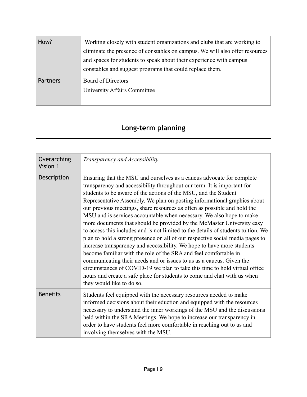| How?            | Working closely with student organizations and clubs that are working to     |
|-----------------|------------------------------------------------------------------------------|
|                 | eliminate the presence of constables on campus. We will also offer resources |
|                 | and spaces for students to speak about their experience with campus          |
|                 | constables and suggest programs that could replace them.                     |
| <b>Partners</b> | <b>Board of Directors</b>                                                    |
|                 | University Affairs Committee                                                 |
|                 |                                                                              |

## **Long-term planning**

| Overarching<br>Vision 1 | Transparency and Accessibility                                                                                                                                                                                                                                                                                                                                                                                                                                                                                                                                                                                                                                                                                                                                                                                                                                                                                                                                                                                                                                                                                   |
|-------------------------|------------------------------------------------------------------------------------------------------------------------------------------------------------------------------------------------------------------------------------------------------------------------------------------------------------------------------------------------------------------------------------------------------------------------------------------------------------------------------------------------------------------------------------------------------------------------------------------------------------------------------------------------------------------------------------------------------------------------------------------------------------------------------------------------------------------------------------------------------------------------------------------------------------------------------------------------------------------------------------------------------------------------------------------------------------------------------------------------------------------|
| Description             | Ensuring that the MSU and ourselves as a caucus advocate for complete<br>transparency and accessibility throughout our term. It is important for<br>students to be aware of the actions of the MSU, and the Student<br>Representative Assembly. We plan on posting informational graphics about<br>our previous meetings, share resources as often as possible and hold the<br>MSU and is services accountable when necessary. We also hope to make<br>more documents that should be provided by the McMaster University easy<br>to access this includes and is not limited to the details of students tuition. We<br>plan to hold a strong presence on all of our respective social media pages to<br>increase transparency and accessibility. We hope to have more students<br>become familiar with the role of the SRA and feel comfortable in<br>communicating their needs and or issues to us as a caucus. Given the<br>circumstances of COVID-19 we plan to take this time to hold virtual office<br>hours and create a safe place for students to come and chat with us when<br>they would like to do so. |
| <b>Benefits</b>         | Students feel equipped with the necessary resources needed to make<br>informed decisions about their eduction and equipped with the resources<br>necessary to understand the inner workings of the MSU and the discussions<br>held within the SRA Meetings. We hope to increase our transparency in<br>order to have students feel more comfortable in reaching out to us and<br>involving themselves with the MSU.                                                                                                                                                                                                                                                                                                                                                                                                                                                                                                                                                                                                                                                                                              |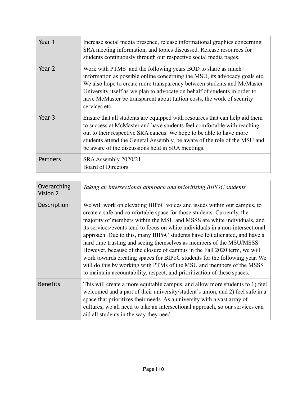| Year 1          | Increase social media presence, release informational graphics concerning<br>SRA meeting information, and topics discussed. Release resources for<br>students continuously through our respective social media pages.                                                                                                                                                                         |
|-----------------|-----------------------------------------------------------------------------------------------------------------------------------------------------------------------------------------------------------------------------------------------------------------------------------------------------------------------------------------------------------------------------------------------|
| Year 2          | Work with PTMS' and the following years BOD to share as much<br>information as possible online concerning the MSU, its advocacy goals etc.<br>We also hope to create more transparency between students and McMaster<br>University itself as we plan to advocate on behalf of students in order to<br>have McMaster be transparent about tuition costs, the work of security<br>services etc. |
| Year 3          | Ensure that all students are equipped with resources that can help aid them<br>to success at McMaster and have students feel comfortable with reaching<br>out to their respective SRA caucus. We hope to be able to have more<br>students attend the General Assembly, be aware of the role of the MSU and<br>be aware of the discussions held in SRA meetings.                               |
| <b>Partners</b> | SRA Assembly 2020/21<br><b>Board of Directors</b>                                                                                                                                                                                                                                                                                                                                             |

| Overarching<br>Vision 2 | Taking an intersectional approach and prioritizing BIPOC students                                                                                                                                                                                                                                                                                                                                                                                                                                                                                                                                                                                                                                                                                                                 |
|-------------------------|-----------------------------------------------------------------------------------------------------------------------------------------------------------------------------------------------------------------------------------------------------------------------------------------------------------------------------------------------------------------------------------------------------------------------------------------------------------------------------------------------------------------------------------------------------------------------------------------------------------------------------------------------------------------------------------------------------------------------------------------------------------------------------------|
| Description             | We will work on elevating BIPoC voices and issues within our campus, to<br>create a safe and comfortable space for those students. Currently, the<br>majority of members within the MSU and MSSS are white individuals, and<br>its services/events tend to focus on white individuals in a non-intersectional<br>approach. Due to this, many BIPoC students have felt alienated, and have a<br>hard time trusting and seeing themselves as members of the MSU/MSSS.<br>However, because of the closure of campus in the Fall 2020 term, we will<br>work towards creating spaces for BIPoC students for the following year. We<br>will do this by working with PTMs of the MSU and members of the MSSS<br>to maintain accountability, respect, and prioritization of these spaces. |
| <b>Benefits</b>         | This will create a more equitable campus, and allow more students to 1) feel<br>welcomed and a part of their university/student's union, and 2) feel safe in a<br>space that prioritizes their needs. As a university with a vast array of<br>cultures, we all need to take an intersectional approach, so our services can<br>aid all students in the way they need.                                                                                                                                                                                                                                                                                                                                                                                                             |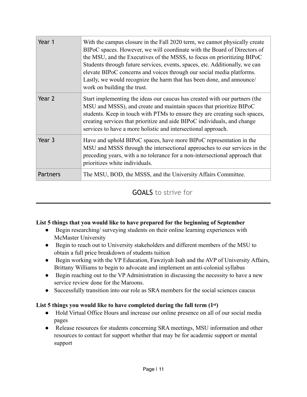| Year 1   | With the campus closure in the Fall 2020 term, we cannot physically create<br>BIPoC spaces. However, we will coordinate with the Board of Directors of<br>the MSU, and the Executives of the MSSS, to focus on prioritizing BIPoC<br>Students through future services, events, spaces, etc. Additionally, we can<br>elevate BIPoC concerns and voices through our social media platforms.<br>Lastly, we would recognize the harm that has been done, and announce/<br>work on building the trust. |
|----------|---------------------------------------------------------------------------------------------------------------------------------------------------------------------------------------------------------------------------------------------------------------------------------------------------------------------------------------------------------------------------------------------------------------------------------------------------------------------------------------------------|
| Year 2   | Start implementing the ideas our caucus has created with our partners (the<br>MSU and MSSS), and create and maintain spaces that prioritize BIPoC<br>students. Keep in touch with PTMs to ensure they are creating such spaces,<br>creating services that prioritize and aide BIPoC individuals, and change<br>services to have a more holistic and intersectional approach.                                                                                                                      |
| Year 3   | Have and uphold BIPoC spaces, have more BIPoC representation in the<br>MSU and MSSS through the intersectional approaches to our services in the<br>preceding years, with a no tolerance for a non-intersectional approach that<br>prioritizes white individuals.                                                                                                                                                                                                                                 |
| Partners | The MSU, BOD, the MSSS, and the University Affairs Committee.                                                                                                                                                                                                                                                                                                                                                                                                                                     |

GOALS to strive for

#### **List 5 things that you would like to have prepared for the beginning of September**

- Begin researching/ surveying students on their online learning experiences with McMaster University
- Begin to reach out to University stakeholders and different members of the MSU to obtain a full price breakdown of students tuition
- Begin working with the VP Education, Fawziyah Isah and the AVP of University Affairs, Brittany Williams to begin to advocate and implement an anti-colonial syllabus
- Begin reaching out to the VP Administration in discussing the necessity to have a new service review done for the Maroons.
- Successfully transition into our role as SRA members for the social sciences caucus

#### **List 5 things you would like to have completed during the fall term (1st)**

- Hold Virtual Office Hours and increase our online presence on all of our social media pages
- Release resources for students concerning SRA meetings, MSU information and other resources to contact for support whether that may be for academic support or mental support